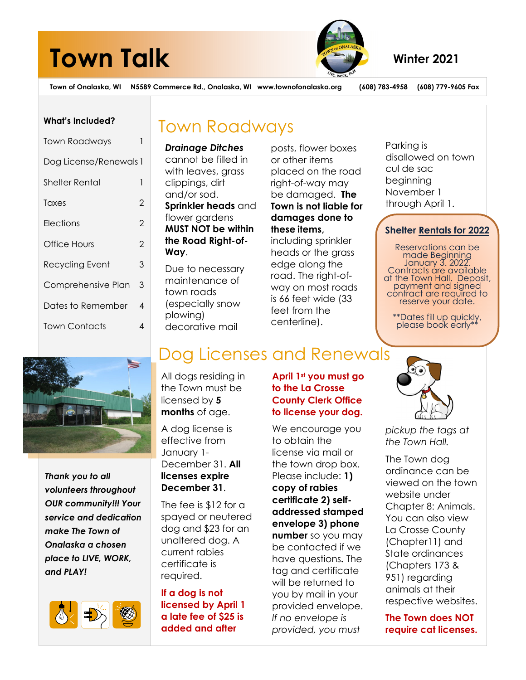# **Town Talk** Winter 2021



**Town of Onalaska, WI N5589 Commerce Rd., Onalaska, WI www.townofonalaska.org (608) 783-4958 (608) 779-9605 Fax** 

## **What's Included?**

| <b>Town Roadways</b>   |               |  |
|------------------------|---------------|--|
| Dog License/Renewals 1 |               |  |
| Shelter Rental         | 1             |  |
| Taxes                  | 2             |  |
| Elections              | 2             |  |
| Office Hours           | $\mathcal{P}$ |  |
| Recycling Event        | 3             |  |
| Comprehensive Plan     | 3             |  |
| Dates to Remember      | 4             |  |
| Town Contacts          | 4             |  |

## Town Roadways

*Drainage Ditches* cannot be filled in with leaves, arass clippings, dirt and/or sod. **Sprinkler heads** and flower gardens **MUST NOT be within the Road Right-of-Way**.

Due to necessary maintenance of town roads (especially snow plowing) decorative mail

posts, flower boxes or other items placed on the road right-of-way may be damaged. **The Town is not liable for damages done to these items,** including sprinkler heads or the grass edge along the road. The right-ofway on most roads is 66 feet wide (33 feet from the

Parking is disallowed on town cul de sac beginning November 1 through April 1.

## **Shelter Rentals for 2022**

Reservations can be made Beginning January 3. 2022. Contracts are available at the Town Hall. Deposit, payment and signed contract are required to reserve your date.

\*\*Dates fill up quickly, please book early\*



*Thank you to all volunteers throughout OUR community!!! Your service and dedication make The Town of Onalaska a chosen place to LIVE, WORK, and PLAY!* 



## Dog Licenses and Renewals

All dogs residing in the Town must be licensed by **5 months** of age.

A dog license is effective from January 1- December 31. **All licenses expire December 31**.

The fee is \$12 for a spayed or neutered dog and \$23 for an unaltered dog. A current rabies certificate is required.

**If a dog is not licensed by April 1 a late fee of \$25 is added and after** 

## **April 1st you must go to the La Crosse County Clerk Office to license your dog.**

We encourage you to obtain the license via mail or the town drop box. Please include: **1) copy of rabies certificate 2) selfaddressed stamped envelope 3) phone number** so you may be contacted if we have questions**.** The tag and certificate will be returned to you by mail in your provided envelope. *If no envelope is provided, you must* 



*pickup the tags at the Town Hall.* 

The Town dog ordinance can be viewed on the town website under Chapter 8: Animals. You can also view La Crosse County (Chapter11) and State ordinances (Chapters 173 & 951) regarding animals at their respective websites.

**The Town does NOT require cat licenses.** 

centerline).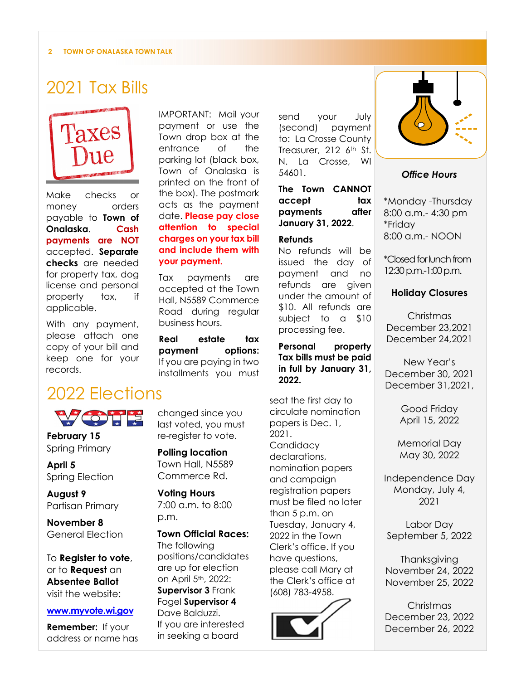#### **2 TOWN OF ONALASKA TOWN TALK**

## 2021 Tax Bills



Make checks or money orders payable to **Town of Onalaska**. **Cash payments are NOT** accepted. **Separate checks** are needed for property tax, dog license and personal property tax, if applicable.

With any payment, please attach one copy of your bill and keep one for your records.

## 2022 Elections



**February 15** Spring Primary

**April 5** Spring Election

**August 9**  Partisan Primary

**November 8**  General Election

To **Register to vote**, or to **Request** an **Absentee Ballot**  visit the website:

## **www.myvote.wi.gov**

**Remember:** If your address or name has changed since you last voted, you must re-register to vote.

**your payment.**

business hours.

Tax payments are accepted at the Town Hall, N5589 Commerce Road during regular

**Real estate tax payment options:**  If you are paying in two installments you must

IMPORTANT: Mail your payment or use the Town drop box at the entrance of the parking lot (black box, Town of Onalaska is printed on the front of the box). The postmark acts as the payment date. **Please pay close attention to special charges on your tax bill and include them with** 

**Polling location**  Town Hall, N5589 Commerce Rd.

**Voting Hours**  7:00 a.m. to 8:00 p.m.

**Town Official Races:**  The following positions/candidates are up for election on April 5th, 2022: **Supervisor 3** Frank Fogel **Supervisor 4** Dave Balduzzi. If you are interested in seeking a board

send your July (second) payment to: La Crosse County Treasurer, 212 6<sup>th</sup> St. N. La Crosse, WI 54601.

**The Town CANNOT accept tax payments after January 31, 2022**.

#### **Refunds**

No refunds will be issued the day of payment and no refunds are given under the amount of \$10. All refunds are subject to a \$10 processing fee.

**Personal property Tax bills must be paid in full by January 31, 2022.**

seat the first day to circulate nomination papers is Dec. 1, 2021. **Candidacy** declarations, nomination papers and campaign registration papers must be filed no later than 5 p.m. on Tuesday, January 4, 2022 in the Town Clerk's office. If you have questions, please call Mary at the Clerk's office at (608) 783-4958.





## *Office Hours*

\*Monday -Thursday 8:00 a.m.- 4:30 pm \*Friday 8:00 a.m.- NOON

\*Closed for lunch from 12:30 p.m.-1:00 p.m.

## **Holiday Closures**

Christmas December 23,2021 December 24,2021

New Year's December 30, 2021 December 31,2021,

> Good Friday April 15, 2022

Memorial Day May 30, 2022

Independence Day Monday, July 4, 2021

Labor Day September 5, 2022

**Thanksgiving** November 24, 2022 November 25, 2022

Christmas December 23, 2022 December 26, 2022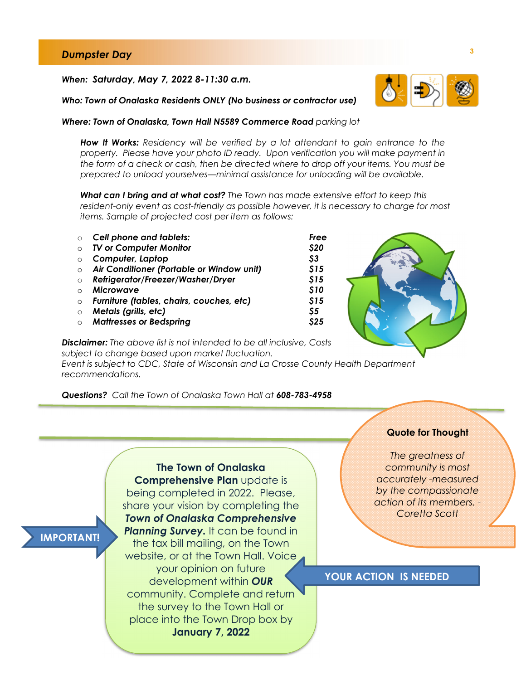## **<sup>3</sup>***Dumpster Day*

#### *When: Saturday, May 7, 2022 8-11:30 a.m.*



 *Who: Town of Onalaska Residents ONLY (No business or contractor use)* 

#### *Where: Town of Onalaska, Town Hall N5589 Commerce Road parking lot*

*How It Works: Residency will be verified by a lot attendant to gain entrance to the property. Please have your photo ID ready. Upon verification you will make payment in the form of a check or cash, then be directed where to drop off your items. You must be prepared to unload yourselves—minimal assistance for unloading will be available.* 

*What can I bring and at what cost? The Town has made extensive effort to keep this resident-only event as cost-friendly as possible however, it is necessary to charge for most items. Sample of projected cost per item as follows:* 

| $\circ$    | <b>Cell phone and tablets:</b>            | Free |
|------------|-------------------------------------------|------|
| $\circ$    | <b>TV or Computer Monitor</b>             | \$20 |
| $\circ$    | Computer, Laptop                          | \$3  |
| $\circ$    | Air Conditioner (Portable or Window unit) | \$15 |
| $\Omega$   | Refrigerator/Freezer/Washer/Dryer         | \$15 |
| $\cap$     | <b>Microwave</b>                          | \$10 |
| $\circ$    | Furniture (tables, chairs, couches, etc)  | \$15 |
| $\circ$    | Metals (grills, etc)                      | \$5  |
| $\bigcirc$ | <b>Mattresses or Bedspring</b>            | \$25 |



*Disclaimer: The above list is not intended to be all inclusive, Costs subject to change based upon market fluctuation.* 

*Event is subject to CDC, State of Wisconsin and La Crosse County Health Department recommendations.* 

*Questions? Call the Town of Onalaska Town Hall at 608-783-4958* 

#### **Quote for Thought**

*The greatness of community is most accurately -measured by the compassionate action of its members. - Coretta Scott* 

## **YOUR ACTION IS NEEDED**

## **IMPORTANT!**

*Town of Onalaska Comprehensive*  **Planning Survey.** It can be found in the tax bill mailing, on the Town website, or at the Town Hall. Voice your opinion on future development within *OUR* community. Complete and return the survey to the Town Hall or place into the Town Drop box by **January 7, 2022**

**The Town of Onalaska Comprehensive Plan** update is being completed in 2022. Please, share your vision by completing the